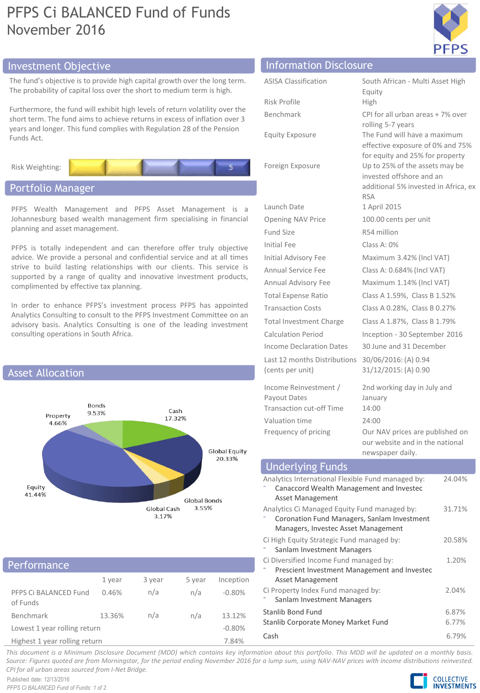# PFPS Ci BALANCED Fund of Funds November 2016



# Investment Objective Information Disclosure

The fund's objective is to provide high capital growth over the long term. The probability of capital loss over the short to medium term is high.

Furthermore, the fund will exhibit high levels of return volatility over the short term. The fund aims to achieve returns in excess of inflation over 3 years and longer. This fund complies with Regulation 28 of the Pension Funds Act.

Risk Weighting:

# Portfolio Manager

PFPS Wealth Management and PFPS Asset Management is a Johannesburg based wealth management firm specialising in financial planning and asset management.

PFPS is totally independent and can therefore offer truly objective advice. We provide a personal and confidential service and at all times strive to build lasting relationships with our clients. This service is supported by a range of quality and innovative investment products, complimented by effective tax planning.

In order to enhance PFPS's investment process PFPS has appointed Analytics Consulting to consult to the PFPS Investment Committee on an advisory basis. Analytics Consulting is one of the leading investment consulting operations in South Africa.



## **Performance**

| 1 - CITYLING I C                  |        |        |        |           |
|-----------------------------------|--------|--------|--------|-----------|
|                                   | 1 year | 3 year | 5 year | Inception |
| PFPS Ci BALANCED Fund<br>of Funds | 0.46%  | n/a    | n/a    | $-0.80%$  |
| Benchmark                         | 13.36% | n/a    | n/a    | 13.12%    |
| Lowest 1 year rolling return      |        |        |        | $-0.80%$  |
| Highest 1 year rolling return     |        |        |        | 7.84%     |

| <b>ASISA Classification</b>     | South African - Multi Asset High                                   |
|---------------------------------|--------------------------------------------------------------------|
|                                 | Equity                                                             |
| Risk Profile                    | High                                                               |
| Benchmark                       | CPI for all urban areas + 7% over                                  |
|                                 | rolling 5-7 years                                                  |
| <b>Equity Exposure</b>          | The Fund will have a maximum<br>effective exposure of 0% and 75%   |
|                                 | for equity and 25% for property                                    |
| Foreign Exposure                | Up to 25% of the assets may be                                     |
|                                 | invested offshore and an                                           |
|                                 | additional 5% invested in Africa, ex<br><b>RSA</b>                 |
| Launch Date                     | 1 April 2015                                                       |
| <b>Opening NAV Price</b>        | 100.00 cents per unit                                              |
| <b>Fund Size</b>                | R54 million                                                        |
| Initial Fee                     | Class A: 0%                                                        |
| Initial Advisory Fee            | Maximum 3.42% (Incl VAT)                                           |
| Annual Service Fee              | Class A: 0.684% (Incl VAT)                                         |
| Annual Advisory Fee             | Maximum 1.14% (Incl VAT)                                           |
| <b>Total Expense Ratio</b>      | Class A 1.59%, Class B 1.52%                                       |
| <b>Transaction Costs</b>        | Class A 0.28%, Class B 0.27%                                       |
| Total Investment Charge         | Class A 1.87%, Class B 1.79%                                       |
| Calculation Period              | Inception - 30 September 2016                                      |
| <b>Income Declaration Dates</b> | 30 June and 31 December                                            |
| Last 12 months Distributions    | 30/06/2016: (A) 0.94                                               |
| (cents per unit)                | 31/12/2015: (A) 0.90                                               |
| Income Reinvestment /           | 2nd working day in July and                                        |
| Payout Dates                    | January                                                            |
| Transaction cut-off Time        | 14:00                                                              |
| Valuation time                  | 24:00                                                              |
| Frequency of pricing            | Our NAV prices are published on<br>our website and in the national |

#### Analytics International Flexible Fund managed by: ⁻ Canaccord Wealth Management and Investec Asset Management 24.04% Analytics Ci Managed Equity Fund managed by: ⁻ Coronation Fund Managers, Sanlam Investment Managers, Investec Asset Management 31.71% Ci High Equity Strategic Fund managed by: Sanlam Investment Managers 20.58% Ci Diversified Income Fund managed by: ⁻ Prescient Investment Management and Investec Asset Management 1.20% Ci Property Index Fund managed by: Sanlam Investment Managers 2.04% Stanlib Bond Fund 6.87% Stanlib Corporate Money Market Fund 6.77% Cash 6.79% Underlying Funds

newspaper daily.

This document is a Minimum Disclosure Document (MDD) which contains key information about this portfolio. This MDD will be updated on a monthly basis. Source: Figures guoted are from Morningstar, for the period ending November 2016 for a lump sum, using NAV-NAV prices with income distributions reinvested. *CPI for all urban areas sourced from I-Net Bridge.*

Published date: 12/13/2016 *PFPS Ci BALANCED Fund of Funds: 1 of 2*